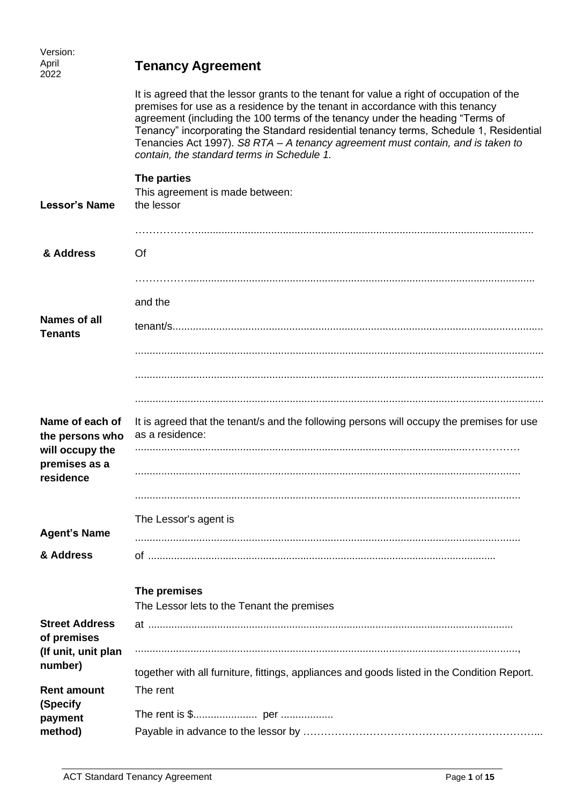| Version:                                              |                                                                                                                                                                                                                                                                                                                                                                                                                                                                                       |
|-------------------------------------------------------|---------------------------------------------------------------------------------------------------------------------------------------------------------------------------------------------------------------------------------------------------------------------------------------------------------------------------------------------------------------------------------------------------------------------------------------------------------------------------------------|
| April<br>2022                                         | <b>Tenancy Agreement</b>                                                                                                                                                                                                                                                                                                                                                                                                                                                              |
|                                                       | It is agreed that the lessor grants to the tenant for value a right of occupation of the<br>premises for use as a residence by the tenant in accordance with this tenancy<br>agreement (including the 100 terms of the tenancy under the heading "Terms of<br>Tenancy" incorporating the Standard residential tenancy terms, Schedule 1, Residential<br>Tenancies Act 1997). S8 RTA - A tenancy agreement must contain, and is taken to<br>contain, the standard terms in Schedule 1. |
|                                                       | The parties                                                                                                                                                                                                                                                                                                                                                                                                                                                                           |
| <b>Lessor's Name</b>                                  | This agreement is made between:<br>the lessor                                                                                                                                                                                                                                                                                                                                                                                                                                         |
|                                                       |                                                                                                                                                                                                                                                                                                                                                                                                                                                                                       |
|                                                       |                                                                                                                                                                                                                                                                                                                                                                                                                                                                                       |
| & Address                                             | Of                                                                                                                                                                                                                                                                                                                                                                                                                                                                                    |
|                                                       |                                                                                                                                                                                                                                                                                                                                                                                                                                                                                       |
|                                                       | and the                                                                                                                                                                                                                                                                                                                                                                                                                                                                               |
| <b>Names of all</b><br><b>Tenants</b>                 |                                                                                                                                                                                                                                                                                                                                                                                                                                                                                       |
|                                                       |                                                                                                                                                                                                                                                                                                                                                                                                                                                                                       |
|                                                       |                                                                                                                                                                                                                                                                                                                                                                                                                                                                                       |
|                                                       |                                                                                                                                                                                                                                                                                                                                                                                                                                                                                       |
| Name of each of<br>the persons who<br>will occupy the | It is agreed that the tenant/s and the following persons will occupy the premises for use<br>as a residence:                                                                                                                                                                                                                                                                                                                                                                          |
| premises as a<br>residence                            |                                                                                                                                                                                                                                                                                                                                                                                                                                                                                       |
|                                                       |                                                                                                                                                                                                                                                                                                                                                                                                                                                                                       |
|                                                       | The Lessor's agent is                                                                                                                                                                                                                                                                                                                                                                                                                                                                 |
| <b>Agent's Name</b>                                   |                                                                                                                                                                                                                                                                                                                                                                                                                                                                                       |
| & Address                                             |                                                                                                                                                                                                                                                                                                                                                                                                                                                                                       |
|                                                       |                                                                                                                                                                                                                                                                                                                                                                                                                                                                                       |
|                                                       | The premises<br>The Lessor lets to the Tenant the premises                                                                                                                                                                                                                                                                                                                                                                                                                            |
| <b>Street Address</b>                                 |                                                                                                                                                                                                                                                                                                                                                                                                                                                                                       |
| of premises<br>(If unit, unit plan                    |                                                                                                                                                                                                                                                                                                                                                                                                                                                                                       |
| number)                                               | together with all furniture, fittings, appliances and goods listed in the Condition Report.                                                                                                                                                                                                                                                                                                                                                                                           |
| <b>Rent amount</b>                                    | The rent                                                                                                                                                                                                                                                                                                                                                                                                                                                                              |
| (Specify                                              |                                                                                                                                                                                                                                                                                                                                                                                                                                                                                       |
| payment<br>method)                                    |                                                                                                                                                                                                                                                                                                                                                                                                                                                                                       |
|                                                       |                                                                                                                                                                                                                                                                                                                                                                                                                                                                                       |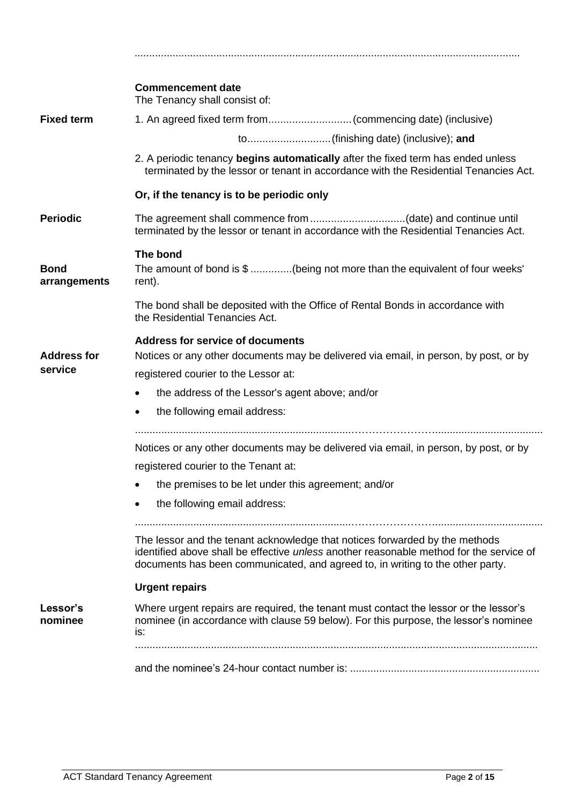|                               | <b>Commencement date</b><br>The Tenancy shall consist of:                                                                                                                                                                                                |
|-------------------------------|----------------------------------------------------------------------------------------------------------------------------------------------------------------------------------------------------------------------------------------------------------|
| <b>Fixed term</b>             |                                                                                                                                                                                                                                                          |
|                               | to(finishing date) (inclusive); and                                                                                                                                                                                                                      |
|                               | 2. A periodic tenancy <b>begins automatically</b> after the fixed term has ended unless<br>terminated by the lessor or tenant in accordance with the Residential Tenancies Act.                                                                          |
|                               | Or, if the tenancy is to be periodic only                                                                                                                                                                                                                |
| <b>Periodic</b>               | terminated by the lessor or tenant in accordance with the Residential Tenancies Act.                                                                                                                                                                     |
| <b>Bond</b><br>arrangements   | The bond<br>The amount of bond is \$ (being not more than the equivalent of four weeks'<br>rent).                                                                                                                                                        |
|                               | The bond shall be deposited with the Office of Rental Bonds in accordance with<br>the Residential Tenancies Act.                                                                                                                                         |
| <b>Address for</b><br>service | <b>Address for service of documents</b><br>Notices or any other documents may be delivered via email, in person, by post, or by<br>registered courier to the Lessor at:                                                                                  |
|                               | the address of the Lessor's agent above; and/or<br>$\bullet$                                                                                                                                                                                             |
|                               |                                                                                                                                                                                                                                                          |
|                               | the following email address:                                                                                                                                                                                                                             |
|                               | Notices or any other documents may be delivered via email, in person, by post, or by                                                                                                                                                                     |
|                               | registered courier to the Tenant at:                                                                                                                                                                                                                     |
|                               | the premises to be let under this agreement; and/or                                                                                                                                                                                                      |
|                               | the following email address:                                                                                                                                                                                                                             |
|                               | The lessor and the tenant acknowledge that notices forwarded by the methods<br>identified above shall be effective unless another reasonable method for the service of<br>documents has been communicated, and agreed to, in writing to the other party. |
|                               | <b>Urgent repairs</b>                                                                                                                                                                                                                                    |
| Lessor's<br>nominee           | Where urgent repairs are required, the tenant must contact the lessor or the lessor's<br>nominee (in accordance with clause 59 below). For this purpose, the lessor's nominee<br>is:                                                                     |
|                               |                                                                                                                                                                                                                                                          |

and the nominee's 24-hour contact number is: .................................................................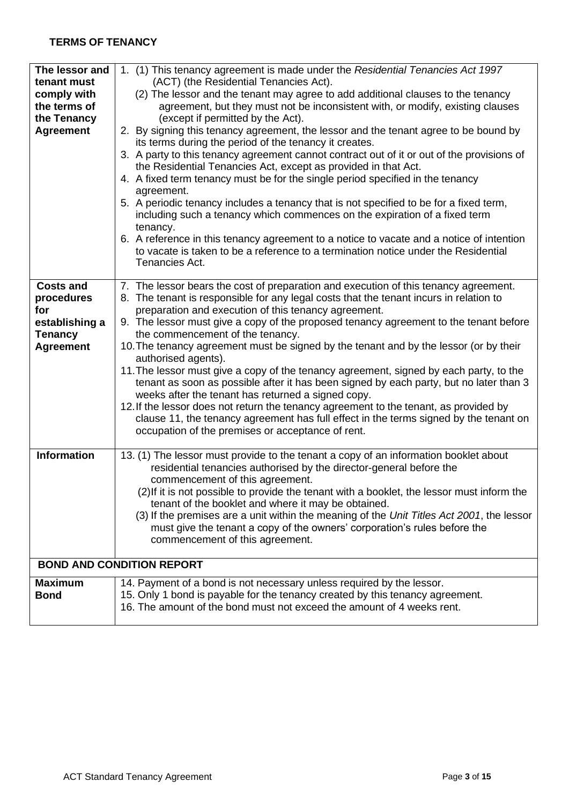## **TERMS OF TENANCY**

| The lessor and<br>tenant must<br>comply with<br>the terms of<br>the Tenancy<br><b>Agreement</b> | 1. (1) This tenancy agreement is made under the Residential Tenancies Act 1997<br>(ACT) (the Residential Tenancies Act).<br>(2) The lessor and the tenant may agree to add additional clauses to the tenancy<br>agreement, but they must not be inconsistent with, or modify, existing clauses<br>(except if permitted by the Act).<br>2. By signing this tenancy agreement, the lessor and the tenant agree to be bound by<br>its terms during the period of the tenancy it creates.<br>3. A party to this tenancy agreement cannot contract out of it or out of the provisions of                                                                                                                                                                                                                                                                                                                                                                                  |
|-------------------------------------------------------------------------------------------------|----------------------------------------------------------------------------------------------------------------------------------------------------------------------------------------------------------------------------------------------------------------------------------------------------------------------------------------------------------------------------------------------------------------------------------------------------------------------------------------------------------------------------------------------------------------------------------------------------------------------------------------------------------------------------------------------------------------------------------------------------------------------------------------------------------------------------------------------------------------------------------------------------------------------------------------------------------------------|
|                                                                                                 | the Residential Tenancies Act, except as provided in that Act.<br>4. A fixed term tenancy must be for the single period specified in the tenancy<br>agreement.<br>5. A periodic tenancy includes a tenancy that is not specified to be for a fixed term,<br>including such a tenancy which commences on the expiration of a fixed term<br>tenancy.<br>6. A reference in this tenancy agreement to a notice to vacate and a notice of intention<br>to vacate is taken to be a reference to a termination notice under the Residential<br>Tenancies Act.                                                                                                                                                                                                                                                                                                                                                                                                               |
| <b>Costs and</b><br>procedures<br>for<br>establishing a<br><b>Tenancy</b><br><b>Agreement</b>   | 7. The lessor bears the cost of preparation and execution of this tenancy agreement.<br>8. The tenant is responsible for any legal costs that the tenant incurs in relation to<br>preparation and execution of this tenancy agreement.<br>9. The lessor must give a copy of the proposed tenancy agreement to the tenant before<br>the commencement of the tenancy.<br>10. The tenancy agreement must be signed by the tenant and by the lessor (or by their<br>authorised agents).<br>11. The lessor must give a copy of the tenancy agreement, signed by each party, to the<br>tenant as soon as possible after it has been signed by each party, but no later than 3<br>weeks after the tenant has returned a signed copy.<br>12. If the lessor does not return the tenancy agreement to the tenant, as provided by<br>clause 11, the tenancy agreement has full effect in the terms signed by the tenant on<br>occupation of the premises or acceptance of rent. |
| <b>Information</b>                                                                              | 13. (1) The lessor must provide to the tenant a copy of an information booklet about<br>residential tenancies authorised by the director-general before the<br>commencement of this agreement.<br>(2) If it is not possible to provide the tenant with a booklet, the lessor must inform the<br>tenant of the booklet and where it may be obtained.<br>(3) If the premises are a unit within the meaning of the Unit Titles Act 2001, the lessor<br>must give the tenant a copy of the owners' corporation's rules before the<br>commencement of this agreement.                                                                                                                                                                                                                                                                                                                                                                                                     |
|                                                                                                 | <b>BOND AND CONDITION REPORT</b>                                                                                                                                                                                                                                                                                                                                                                                                                                                                                                                                                                                                                                                                                                                                                                                                                                                                                                                                     |
| <b>Maximum</b><br><b>Bond</b>                                                                   | 14. Payment of a bond is not necessary unless required by the lessor.<br>15. Only 1 bond is payable for the tenancy created by this tenancy agreement.<br>16. The amount of the bond must not exceed the amount of 4 weeks rent.                                                                                                                                                                                                                                                                                                                                                                                                                                                                                                                                                                                                                                                                                                                                     |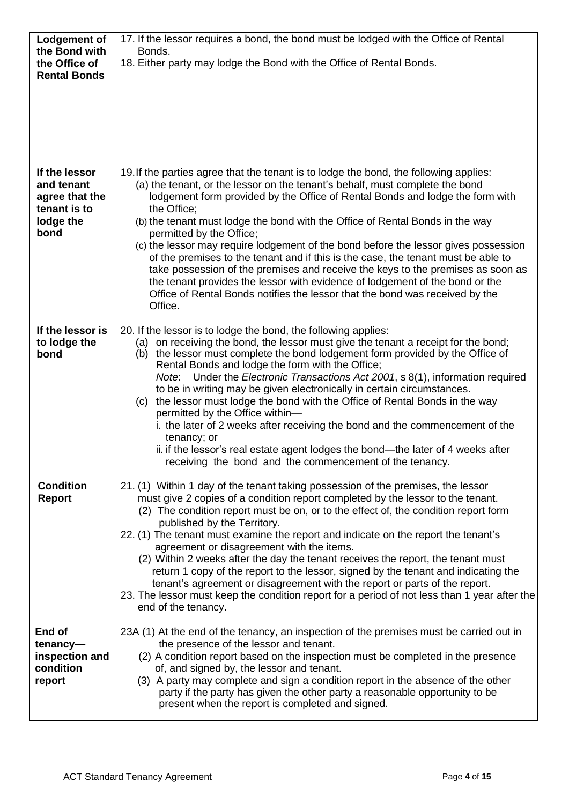| <b>Lodgement of</b><br>the Bond with<br>the Office of<br><b>Rental Bonds</b>       | 17. If the lessor requires a bond, the bond must be lodged with the Office of Rental<br>Bonds.<br>18. Either party may lodge the Bond with the Office of Rental Bonds.                                                                                                                                                                                                                                                                                                                                                                                                                                                                                                                                                                                                                                                       |
|------------------------------------------------------------------------------------|------------------------------------------------------------------------------------------------------------------------------------------------------------------------------------------------------------------------------------------------------------------------------------------------------------------------------------------------------------------------------------------------------------------------------------------------------------------------------------------------------------------------------------------------------------------------------------------------------------------------------------------------------------------------------------------------------------------------------------------------------------------------------------------------------------------------------|
| If the lessor<br>and tenant<br>agree that the<br>tenant is to<br>lodge the<br>bond | 19. If the parties agree that the tenant is to lodge the bond, the following applies:<br>(a) the tenant, or the lessor on the tenant's behalf, must complete the bond<br>lodgement form provided by the Office of Rental Bonds and lodge the form with<br>the Office;<br>(b) the tenant must lodge the bond with the Office of Rental Bonds in the way<br>permitted by the Office;<br>(c) the lessor may require lodgement of the bond before the lessor gives possession<br>of the premises to the tenant and if this is the case, the tenant must be able to<br>take possession of the premises and receive the keys to the premises as soon as<br>the tenant provides the lessor with evidence of lodgement of the bond or the<br>Office of Rental Bonds notifies the lessor that the bond was received by the<br>Office. |
| If the lessor is<br>to lodge the<br>bond                                           | 20. If the lessor is to lodge the bond, the following applies:<br>(a) on receiving the bond, the lessor must give the tenant a receipt for the bond;<br>(b) the lessor must complete the bond lodgement form provided by the Office of<br>Rental Bonds and lodge the form with the Office;<br>Note: Under the Electronic Transactions Act 2001, s 8(1), information required<br>to be in writing may be given electronically in certain circumstances.<br>the lessor must lodge the bond with the Office of Rental Bonds in the way<br>(c)<br>permitted by the Office within-<br>i. the later of 2 weeks after receiving the bond and the commencement of the<br>tenancy; or<br>ii. if the lessor's real estate agent lodges the bond—the later of 4 weeks after<br>receiving the bond and the commencement of the tenancy.  |
| <b>Condition</b><br><b>Report</b>                                                  | 21. (1) Within 1 day of the tenant taking possession of the premises, the lessor<br>must give 2 copies of a condition report completed by the lessor to the tenant.<br>(2) The condition report must be on, or to the effect of, the condition report form<br>published by the Territory.<br>22. (1) The tenant must examine the report and indicate on the report the tenant's<br>agreement or disagreement with the items.<br>(2) Within 2 weeks after the day the tenant receives the report, the tenant must<br>return 1 copy of the report to the lessor, signed by the tenant and indicating the<br>tenant's agreement or disagreement with the report or parts of the report.<br>23. The lessor must keep the condition report for a period of not less than 1 year after the<br>end of the tenancy.                  |
| End of<br>tenancy-<br>inspection and<br>condition<br>report                        | 23A (1) At the end of the tenancy, an inspection of the premises must be carried out in<br>the presence of the lessor and tenant.<br>(2) A condition report based on the inspection must be completed in the presence<br>of, and signed by, the lessor and tenant.<br>(3) A party may complete and sign a condition report in the absence of the other<br>party if the party has given the other party a reasonable opportunity to be<br>present when the report is completed and signed.                                                                                                                                                                                                                                                                                                                                    |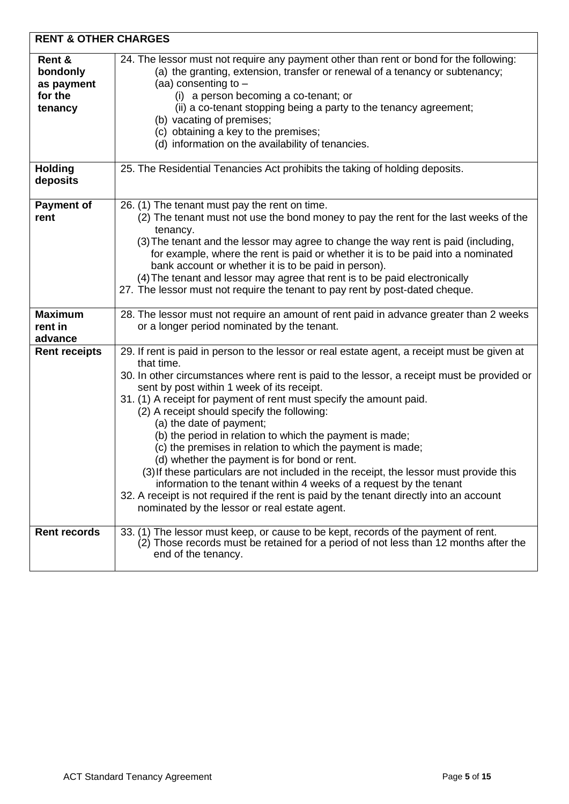| <b>RENT &amp; OTHER CHARGES</b>                        |                                                                                                                                                                                                                                                                                                                                                                                                                                                                                                                                                                                                                                                                                                                                                                                                                                                                                                  |
|--------------------------------------------------------|--------------------------------------------------------------------------------------------------------------------------------------------------------------------------------------------------------------------------------------------------------------------------------------------------------------------------------------------------------------------------------------------------------------------------------------------------------------------------------------------------------------------------------------------------------------------------------------------------------------------------------------------------------------------------------------------------------------------------------------------------------------------------------------------------------------------------------------------------------------------------------------------------|
| Rent &<br>bondonly<br>as payment<br>for the<br>tenancy | 24. The lessor must not require any payment other than rent or bond for the following:<br>(a) the granting, extension, transfer or renewal of a tenancy or subtenancy;<br>(aa) consenting to $-$<br>(i) a person becoming a co-tenant; or<br>(ii) a co-tenant stopping being a party to the tenancy agreement;<br>(b) vacating of premises;<br>(c) obtaining a key to the premises;<br>(d) information on the availability of tenancies.                                                                                                                                                                                                                                                                                                                                                                                                                                                         |
| <b>Holding</b><br>deposits                             | 25. The Residential Tenancies Act prohibits the taking of holding deposits.                                                                                                                                                                                                                                                                                                                                                                                                                                                                                                                                                                                                                                                                                                                                                                                                                      |
| <b>Payment of</b><br>rent                              | 26. (1) The tenant must pay the rent on time.<br>(2) The tenant must not use the bond money to pay the rent for the last weeks of the<br>tenancy.<br>(3) The tenant and the lessor may agree to change the way rent is paid (including,<br>for example, where the rent is paid or whether it is to be paid into a nominated<br>bank account or whether it is to be paid in person).<br>(4) The tenant and lessor may agree that rent is to be paid electronically<br>27. The lessor must not require the tenant to pay rent by post-dated cheque.                                                                                                                                                                                                                                                                                                                                                |
| <b>Maximum</b><br>rent in<br>advance                   | 28. The lessor must not require an amount of rent paid in advance greater than 2 weeks<br>or a longer period nominated by the tenant.                                                                                                                                                                                                                                                                                                                                                                                                                                                                                                                                                                                                                                                                                                                                                            |
| <b>Rent receipts</b>                                   | 29. If rent is paid in person to the lessor or real estate agent, a receipt must be given at<br>that time.<br>30. In other circumstances where rent is paid to the lessor, a receipt must be provided or<br>sent by post within 1 week of its receipt.<br>31. (1) A receipt for payment of rent must specify the amount paid.<br>(2) A receipt should specify the following:<br>(a) the date of payment;<br>(b) the period in relation to which the payment is made;<br>(c) the premises in relation to which the payment is made;<br>(d) whether the payment is for bond or rent.<br>(3) If these particulars are not included in the receipt, the lessor must provide this<br>information to the tenant within 4 weeks of a request by the tenant<br>32. A receipt is not required if the rent is paid by the tenant directly into an account<br>nominated by the lessor or real estate agent. |
| <b>Rent records</b>                                    | 33. (1) The lessor must keep, or cause to be kept, records of the payment of rent.<br>(2) Those records must be retained for a period of not less than 12 months after the<br>end of the tenancy.                                                                                                                                                                                                                                                                                                                                                                                                                                                                                                                                                                                                                                                                                                |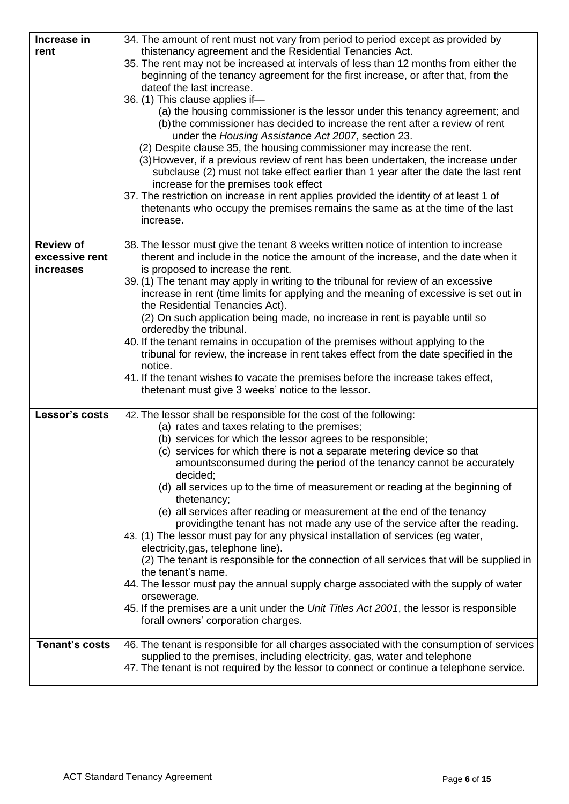| Increase in<br>rent                             | 34. The amount of rent must not vary from period to period except as provided by<br>thistenancy agreement and the Residential Tenancies Act.<br>35. The rent may not be increased at intervals of less than 12 months from either the<br>beginning of the tenancy agreement for the first increase, or after that, from the<br>dateof the last increase.<br>36. (1) This clause applies if-<br>(a) the housing commissioner is the lessor under this tenancy agreement; and<br>(b) the commissioner has decided to increase the rent after a review of rent<br>under the Housing Assistance Act 2007, section 23.<br>(2) Despite clause 35, the housing commissioner may increase the rent.<br>(3) However, if a previous review of rent has been undertaken, the increase under<br>subclause (2) must not take effect earlier than 1 year after the date the last rent<br>increase for the premises took effect<br>37. The restriction on increase in rent applies provided the identity of at least 1 of<br>thetenants who occupy the premises remains the same as at the time of the last<br>increase. |
|-------------------------------------------------|-----------------------------------------------------------------------------------------------------------------------------------------------------------------------------------------------------------------------------------------------------------------------------------------------------------------------------------------------------------------------------------------------------------------------------------------------------------------------------------------------------------------------------------------------------------------------------------------------------------------------------------------------------------------------------------------------------------------------------------------------------------------------------------------------------------------------------------------------------------------------------------------------------------------------------------------------------------------------------------------------------------------------------------------------------------------------------------------------------------|
| <b>Review of</b><br>excessive rent<br>increases | 38. The lessor must give the tenant 8 weeks written notice of intention to increase<br>therent and include in the notice the amount of the increase, and the date when it<br>is proposed to increase the rent.<br>39. (1) The tenant may apply in writing to the tribunal for review of an excessive<br>increase in rent (time limits for applying and the meaning of excessive is set out in<br>the Residential Tenancies Act).<br>(2) On such application being made, no increase in rent is payable until so<br>orderedby the tribunal.<br>40. If the tenant remains in occupation of the premises without applying to the<br>tribunal for review, the increase in rent takes effect from the date specified in the<br>notice.<br>41. If the tenant wishes to vacate the premises before the increase takes effect,<br>thetenant must give 3 weeks' notice to the lessor.                                                                                                                                                                                                                              |
| Lessor's costs                                  | 42. The lessor shall be responsible for the cost of the following:<br>(a) rates and taxes relating to the premises;<br>(b) services for which the lessor agrees to be responsible;<br>(c) services for which there is not a separate metering device so that<br>amountsconsumed during the period of the tenancy cannot be accurately<br>decided;<br>(d) all services up to the time of measurement or reading at the beginning of<br>thetenancy;<br>(e) all services after reading or measurement at the end of the tenancy<br>providingthe tenant has not made any use of the service after the reading.<br>43. (1) The lessor must pay for any physical installation of services (eg water,<br>electricity, gas, telephone line).<br>(2) The tenant is responsible for the connection of all services that will be supplied in<br>the tenant's name.<br>44. The lessor must pay the annual supply charge associated with the supply of water<br>orsewerage.<br>45. If the premises are a unit under the Unit Titles Act 2001, the lessor is responsible<br>forall owners' corporation charges.         |
| <b>Tenant's costs</b>                           | 46. The tenant is responsible for all charges associated with the consumption of services<br>supplied to the premises, including electricity, gas, water and telephone<br>47. The tenant is not required by the lessor to connect or continue a telephone service.                                                                                                                                                                                                                                                                                                                                                                                                                                                                                                                                                                                                                                                                                                                                                                                                                                        |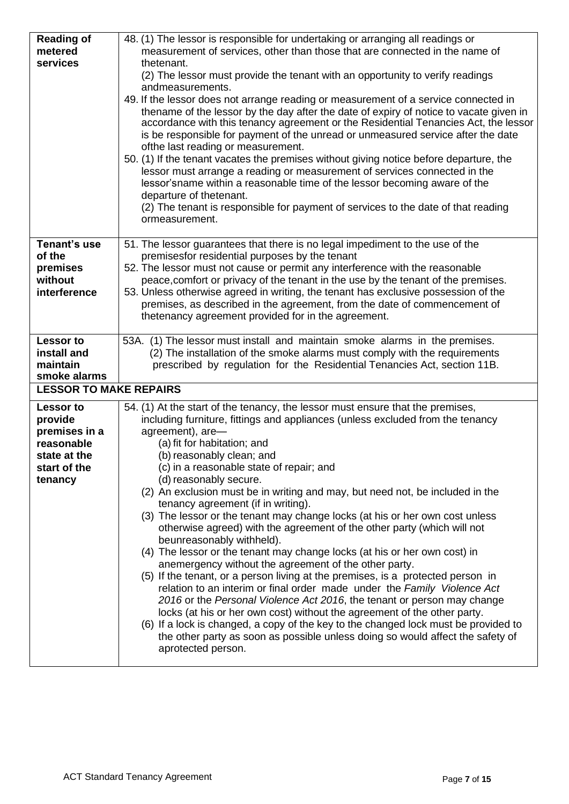| <b>Reading of</b><br>metered<br>services                                                              | 48. (1) The lessor is responsible for undertaking or arranging all readings or<br>measurement of services, other than those that are connected in the name of<br>thetenant.<br>(2) The lessor must provide the tenant with an opportunity to verify readings<br>andmeasurements.<br>49. If the lessor does not arrange reading or measurement of a service connected in<br>thename of the lessor by the day after the date of expiry of notice to vacate given in<br>accordance with this tenancy agreement or the Residential Tenancies Act, the lessor<br>is be responsible for payment of the unread or unmeasured service after the date<br>ofthe last reading or measurement.<br>50. (1) If the tenant vacates the premises without giving notice before departure, the<br>lessor must arrange a reading or measurement of services connected in the<br>lessor'sname within a reasonable time of the lessor becoming aware of the<br>departure of thetenant.<br>(2) The tenant is responsible for payment of services to the date of that reading<br>ormeasurement.                                                                                                                                                                                                                         |
|-------------------------------------------------------------------------------------------------------|--------------------------------------------------------------------------------------------------------------------------------------------------------------------------------------------------------------------------------------------------------------------------------------------------------------------------------------------------------------------------------------------------------------------------------------------------------------------------------------------------------------------------------------------------------------------------------------------------------------------------------------------------------------------------------------------------------------------------------------------------------------------------------------------------------------------------------------------------------------------------------------------------------------------------------------------------------------------------------------------------------------------------------------------------------------------------------------------------------------------------------------------------------------------------------------------------------------------------------------------------------------------------------------------------|
| Tenant's use<br>of the<br>premises<br>without<br>interference                                         | 51. The lessor guarantees that there is no legal impediment to the use of the<br>premisesfor residential purposes by the tenant<br>52. The lessor must not cause or permit any interference with the reasonable<br>peace, comfort or privacy of the tenant in the use by the tenant of the premises.<br>53. Unless otherwise agreed in writing, the tenant has exclusive possession of the<br>premises, as described in the agreement, from the date of commencement of<br>thetenancy agreement provided for in the agreement.                                                                                                                                                                                                                                                                                                                                                                                                                                                                                                                                                                                                                                                                                                                                                                   |
| <b>Lessor to</b><br>install and<br>maintain<br>smoke alarms                                           | 53A. (1) The lessor must install and maintain smoke alarms in the premises.<br>(2) The installation of the smoke alarms must comply with the requirements<br>prescribed by regulation for the Residential Tenancies Act, section 11B.                                                                                                                                                                                                                                                                                                                                                                                                                                                                                                                                                                                                                                                                                                                                                                                                                                                                                                                                                                                                                                                            |
| <b>LESSOR TO MAKE REPAIRS</b>                                                                         |                                                                                                                                                                                                                                                                                                                                                                                                                                                                                                                                                                                                                                                                                                                                                                                                                                                                                                                                                                                                                                                                                                                                                                                                                                                                                                  |
| <b>Lessor to</b><br>provide<br>premises in a<br>reasonable<br>state at the<br>start of the<br>tenancy | 54. (1) At the start of the tenancy, the lessor must ensure that the premises,<br>including furniture, fittings and appliances (unless excluded from the tenancy<br>agreement), are-<br>(a) fit for habitation; and<br>(b) reasonably clean; and<br>(c) in a reasonable state of repair; and<br>(d) reasonably secure.<br>(2) An exclusion must be in writing and may, but need not, be included in the<br>tenancy agreement (if in writing).<br>(3) The lessor or the tenant may change locks (at his or her own cost unless<br>otherwise agreed) with the agreement of the other party (which will not<br>beunreasonably withheld).<br>(4) The lessor or the tenant may change locks (at his or her own cost) in<br>anemergency without the agreement of the other party.<br>(5) If the tenant, or a person living at the premises, is a protected person in<br>relation to an interim or final order made under the Family Violence Act<br>2016 or the Personal Violence Act 2016, the tenant or person may change<br>locks (at his or her own cost) without the agreement of the other party.<br>(6) If a lock is changed, a copy of the key to the changed lock must be provided to<br>the other party as soon as possible unless doing so would affect the safety of<br>aprotected person. |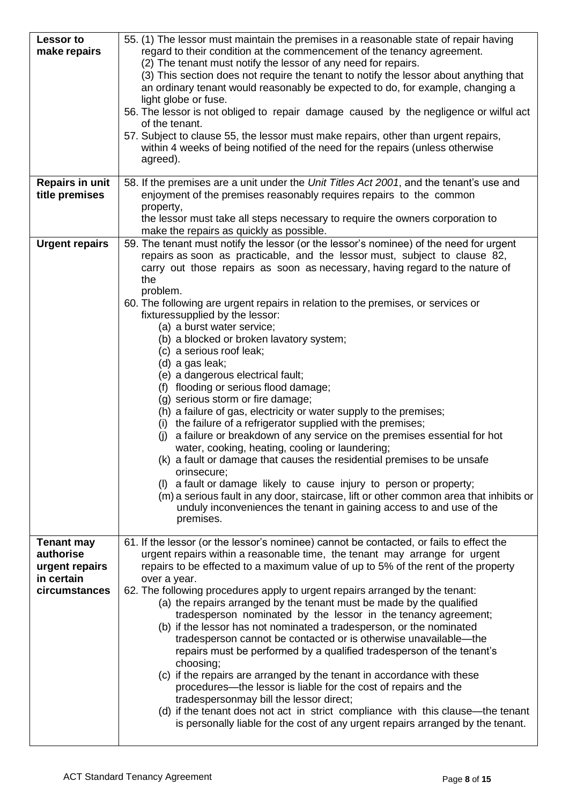| <b>Lessor to</b><br>make repairs                                                | 55. (1) The lessor must maintain the premises in a reasonable state of repair having<br>regard to their condition at the commencement of the tenancy agreement.<br>(2) The tenant must notify the lessor of any need for repairs.<br>(3) This section does not require the tenant to notify the lessor about anything that<br>an ordinary tenant would reasonably be expected to do, for example, changing a<br>light globe or fuse.<br>56. The lessor is not obliged to repair damage caused by the negligence or wilful act<br>of the tenant.<br>57. Subject to clause 55, the lessor must make repairs, other than urgent repairs,<br>within 4 weeks of being notified of the need for the repairs (unless otherwise<br>agreed).                                                                                                                                                                                                                                                                                                                                                                                                                                                                                                                                 |
|---------------------------------------------------------------------------------|---------------------------------------------------------------------------------------------------------------------------------------------------------------------------------------------------------------------------------------------------------------------------------------------------------------------------------------------------------------------------------------------------------------------------------------------------------------------------------------------------------------------------------------------------------------------------------------------------------------------------------------------------------------------------------------------------------------------------------------------------------------------------------------------------------------------------------------------------------------------------------------------------------------------------------------------------------------------------------------------------------------------------------------------------------------------------------------------------------------------------------------------------------------------------------------------------------------------------------------------------------------------|
| <b>Repairs in unit</b><br>title premises                                        | 58. If the premises are a unit under the Unit Titles Act 2001, and the tenant's use and<br>enjoyment of the premises reasonably requires repairs to the common<br>property,<br>the lessor must take all steps necessary to require the owners corporation to<br>make the repairs as quickly as possible.                                                                                                                                                                                                                                                                                                                                                                                                                                                                                                                                                                                                                                                                                                                                                                                                                                                                                                                                                            |
| <b>Urgent repairs</b>                                                           | 59. The tenant must notify the lessor (or the lessor's nominee) of the need for urgent<br>repairs as soon as practicable, and the lessor must, subject to clause 82,<br>carry out those repairs as soon as necessary, having regard to the nature of<br>the<br>problem.<br>60. The following are urgent repairs in relation to the premises, or services or<br>fixturessupplied by the lessor:<br>(a) a burst water service;<br>(b) a blocked or broken lavatory system;<br>(c) a serious roof leak;<br>(d) a gas leak;<br>(e) a dangerous electrical fault;<br>(f) flooding or serious flood damage;<br>(g) serious storm or fire damage;<br>(h) a failure of gas, electricity or water supply to the premises;<br>(i) the failure of a refrigerator supplied with the premises;<br>(i) a failure or breakdown of any service on the premises essential for hot<br>water, cooking, heating, cooling or laundering;<br>(k) a fault or damage that causes the residential premises to be unsafe<br>orinsecure;<br>(I) a fault or damage likely to cause injury to person or property;<br>(m) a serious fault in any door, staircase, lift or other common area that inhibits or<br>unduly inconveniences the tenant in gaining access to and use of the<br>premises. |
| <b>Tenant may</b><br>authorise<br>urgent repairs<br>in certain<br>circumstances | 61. If the lessor (or the lessor's nominee) cannot be contacted, or fails to effect the<br>urgent repairs within a reasonable time, the tenant may arrange for urgent<br>repairs to be effected to a maximum value of up to 5% of the rent of the property<br>over a year.<br>62. The following procedures apply to urgent repairs arranged by the tenant:<br>(a) the repairs arranged by the tenant must be made by the qualified<br>tradesperson nominated by the lessor in the tenancy agreement;<br>(b) if the lessor has not nominated a tradesperson, or the nominated<br>tradesperson cannot be contacted or is otherwise unavailable—the<br>repairs must be performed by a qualified tradesperson of the tenant's<br>choosing;<br>(c) if the repairs are arranged by the tenant in accordance with these<br>procedures—the lessor is liable for the cost of repairs and the<br>tradespersonmay bill the lessor direct;<br>(d) if the tenant does not act in strict compliance with this clause—the tenant<br>is personally liable for the cost of any urgent repairs arranged by the tenant.                                                                                                                                                                |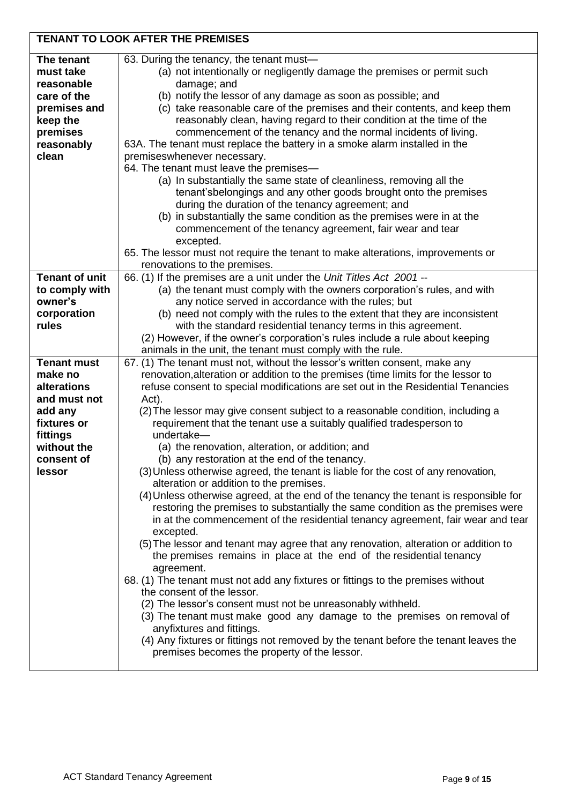| The tenant<br>63. During the tenancy, the tenant must-<br>must take<br>(a) not intentionally or negligently damage the premises or permit such<br>reasonable<br>damage; and<br>care of the<br>(b) notify the lessor of any damage as soon as possible; and<br>(c) take reasonable care of the premises and their contents, and keep them<br>premises and<br>reasonably clean, having regard to their condition at the time of the<br>keep the<br>commencement of the tenancy and the normal incidents of living.<br>premises<br>63A. The tenant must replace the battery in a smoke alarm installed in the<br>reasonably<br>clean<br>premiseswhenever necessary.<br>64. The tenant must leave the premises-<br>(a) In substantially the same state of cleanliness, removing all the<br>tenant's belongings and any other goods brought onto the premises |
|----------------------------------------------------------------------------------------------------------------------------------------------------------------------------------------------------------------------------------------------------------------------------------------------------------------------------------------------------------------------------------------------------------------------------------------------------------------------------------------------------------------------------------------------------------------------------------------------------------------------------------------------------------------------------------------------------------------------------------------------------------------------------------------------------------------------------------------------------------|
|                                                                                                                                                                                                                                                                                                                                                                                                                                                                                                                                                                                                                                                                                                                                                                                                                                                          |
|                                                                                                                                                                                                                                                                                                                                                                                                                                                                                                                                                                                                                                                                                                                                                                                                                                                          |
|                                                                                                                                                                                                                                                                                                                                                                                                                                                                                                                                                                                                                                                                                                                                                                                                                                                          |
|                                                                                                                                                                                                                                                                                                                                                                                                                                                                                                                                                                                                                                                                                                                                                                                                                                                          |
|                                                                                                                                                                                                                                                                                                                                                                                                                                                                                                                                                                                                                                                                                                                                                                                                                                                          |
|                                                                                                                                                                                                                                                                                                                                                                                                                                                                                                                                                                                                                                                                                                                                                                                                                                                          |
|                                                                                                                                                                                                                                                                                                                                                                                                                                                                                                                                                                                                                                                                                                                                                                                                                                                          |
|                                                                                                                                                                                                                                                                                                                                                                                                                                                                                                                                                                                                                                                                                                                                                                                                                                                          |
|                                                                                                                                                                                                                                                                                                                                                                                                                                                                                                                                                                                                                                                                                                                                                                                                                                                          |
|                                                                                                                                                                                                                                                                                                                                                                                                                                                                                                                                                                                                                                                                                                                                                                                                                                                          |
|                                                                                                                                                                                                                                                                                                                                                                                                                                                                                                                                                                                                                                                                                                                                                                                                                                                          |
| during the duration of the tenancy agreement; and                                                                                                                                                                                                                                                                                                                                                                                                                                                                                                                                                                                                                                                                                                                                                                                                        |
| (b) in substantially the same condition as the premises were in at the                                                                                                                                                                                                                                                                                                                                                                                                                                                                                                                                                                                                                                                                                                                                                                                   |
| commencement of the tenancy agreement, fair wear and tear                                                                                                                                                                                                                                                                                                                                                                                                                                                                                                                                                                                                                                                                                                                                                                                                |
| excepted.                                                                                                                                                                                                                                                                                                                                                                                                                                                                                                                                                                                                                                                                                                                                                                                                                                                |
| 65. The lessor must not require the tenant to make alterations, improvements or                                                                                                                                                                                                                                                                                                                                                                                                                                                                                                                                                                                                                                                                                                                                                                          |
| renovations to the premises.                                                                                                                                                                                                                                                                                                                                                                                                                                                                                                                                                                                                                                                                                                                                                                                                                             |
| <b>Tenant of unit</b><br>66. (1) If the premises are a unit under the Unit Titles Act 2001 --                                                                                                                                                                                                                                                                                                                                                                                                                                                                                                                                                                                                                                                                                                                                                            |
| (a) the tenant must comply with the owners corporation's rules, and with<br>to comply with                                                                                                                                                                                                                                                                                                                                                                                                                                                                                                                                                                                                                                                                                                                                                               |
| owner's<br>any notice served in accordance with the rules; but                                                                                                                                                                                                                                                                                                                                                                                                                                                                                                                                                                                                                                                                                                                                                                                           |
| corporation<br>(b) need not comply with the rules to the extent that they are inconsistent                                                                                                                                                                                                                                                                                                                                                                                                                                                                                                                                                                                                                                                                                                                                                               |
| rules<br>with the standard residential tenancy terms in this agreement.                                                                                                                                                                                                                                                                                                                                                                                                                                                                                                                                                                                                                                                                                                                                                                                  |
| (2) However, if the owner's corporation's rules include a rule about keeping                                                                                                                                                                                                                                                                                                                                                                                                                                                                                                                                                                                                                                                                                                                                                                             |
| animals in the unit, the tenant must comply with the rule.<br><b>Tenant must</b>                                                                                                                                                                                                                                                                                                                                                                                                                                                                                                                                                                                                                                                                                                                                                                         |
| 67. (1) The tenant must not, without the lessor's written consent, make any<br>renovation, alteration or addition to the premises (time limits for the lessor to<br>make no                                                                                                                                                                                                                                                                                                                                                                                                                                                                                                                                                                                                                                                                              |
| refuse consent to special modifications are set out in the Residential Tenancies<br>alterations                                                                                                                                                                                                                                                                                                                                                                                                                                                                                                                                                                                                                                                                                                                                                          |
| and must not<br>Act).                                                                                                                                                                                                                                                                                                                                                                                                                                                                                                                                                                                                                                                                                                                                                                                                                                    |
| add any<br>(2) The lessor may give consent subject to a reasonable condition, including a                                                                                                                                                                                                                                                                                                                                                                                                                                                                                                                                                                                                                                                                                                                                                                |
| fixtures or<br>requirement that the tenant use a suitably qualified tradesperson to                                                                                                                                                                                                                                                                                                                                                                                                                                                                                                                                                                                                                                                                                                                                                                      |
| undertake-<br>fittings                                                                                                                                                                                                                                                                                                                                                                                                                                                                                                                                                                                                                                                                                                                                                                                                                                   |
| (a) the renovation, alteration, or addition; and<br>without the                                                                                                                                                                                                                                                                                                                                                                                                                                                                                                                                                                                                                                                                                                                                                                                          |
| (b) any restoration at the end of the tenancy.<br>consent of                                                                                                                                                                                                                                                                                                                                                                                                                                                                                                                                                                                                                                                                                                                                                                                             |
| (3) Unless otherwise agreed, the tenant is liable for the cost of any renovation,<br>lessor                                                                                                                                                                                                                                                                                                                                                                                                                                                                                                                                                                                                                                                                                                                                                              |
| alteration or addition to the premises.                                                                                                                                                                                                                                                                                                                                                                                                                                                                                                                                                                                                                                                                                                                                                                                                                  |
| (4) Unless otherwise agreed, at the end of the tenancy the tenant is responsible for                                                                                                                                                                                                                                                                                                                                                                                                                                                                                                                                                                                                                                                                                                                                                                     |
| restoring the premises to substantially the same condition as the premises were                                                                                                                                                                                                                                                                                                                                                                                                                                                                                                                                                                                                                                                                                                                                                                          |
| in at the commencement of the residential tenancy agreement, fair wear and tear<br>excepted.                                                                                                                                                                                                                                                                                                                                                                                                                                                                                                                                                                                                                                                                                                                                                             |
| (5) The lessor and tenant may agree that any renovation, alteration or addition to                                                                                                                                                                                                                                                                                                                                                                                                                                                                                                                                                                                                                                                                                                                                                                       |
| the premises remains in place at the end of the residential tenancy                                                                                                                                                                                                                                                                                                                                                                                                                                                                                                                                                                                                                                                                                                                                                                                      |
| agreement.                                                                                                                                                                                                                                                                                                                                                                                                                                                                                                                                                                                                                                                                                                                                                                                                                                               |
| 68. (1) The tenant must not add any fixtures or fittings to the premises without                                                                                                                                                                                                                                                                                                                                                                                                                                                                                                                                                                                                                                                                                                                                                                         |
| the consent of the lessor.                                                                                                                                                                                                                                                                                                                                                                                                                                                                                                                                                                                                                                                                                                                                                                                                                               |
| (2) The lessor's consent must not be unreasonably withheld.                                                                                                                                                                                                                                                                                                                                                                                                                                                                                                                                                                                                                                                                                                                                                                                              |
| (3) The tenant must make good any damage to the premises on removal of                                                                                                                                                                                                                                                                                                                                                                                                                                                                                                                                                                                                                                                                                                                                                                                   |
| anyfixtures and fittings.                                                                                                                                                                                                                                                                                                                                                                                                                                                                                                                                                                                                                                                                                                                                                                                                                                |
| (4) Any fixtures or fittings not removed by the tenant before the tenant leaves the                                                                                                                                                                                                                                                                                                                                                                                                                                                                                                                                                                                                                                                                                                                                                                      |
| premises becomes the property of the lessor.                                                                                                                                                                                                                                                                                                                                                                                                                                                                                                                                                                                                                                                                                                                                                                                                             |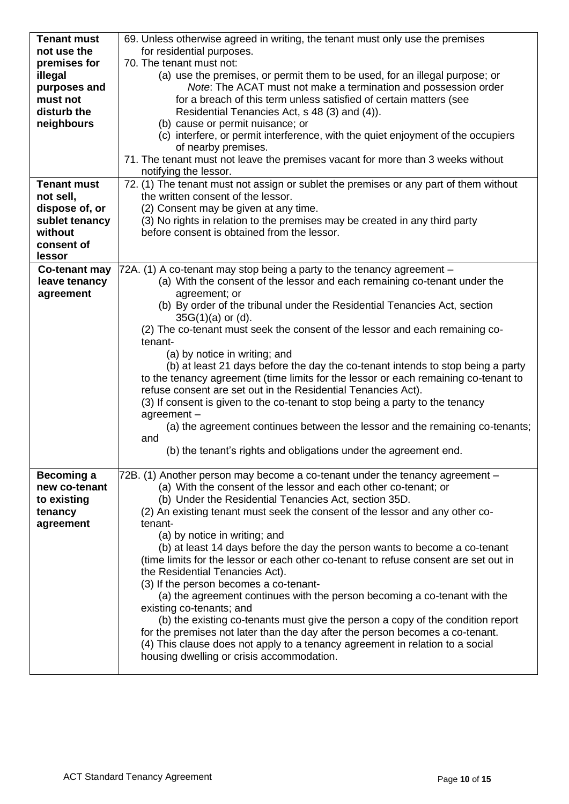| <b>Tenant must</b> | 69. Unless otherwise agreed in writing, the tenant must only use the premises         |
|--------------------|---------------------------------------------------------------------------------------|
| not use the        | for residential purposes.                                                             |
| premises for       | 70. The tenant must not:                                                              |
| illegal            | (a) use the premises, or permit them to be used, for an illegal purpose; or           |
| purposes and       | Note: The ACAT must not make a termination and possession order                       |
| must not           | for a breach of this term unless satisfied of certain matters (see                    |
| disturb the        | Residential Tenancies Act, s 48 (3) and (4)).                                         |
| neighbours         | (b) cause or permit nuisance; or                                                      |
|                    | (c) interfere, or permit interference, with the quiet enjoyment of the occupiers      |
|                    | of nearby premises.                                                                   |
|                    | 71. The tenant must not leave the premises vacant for more than 3 weeks without       |
|                    | notifying the lessor.                                                                 |
| <b>Tenant must</b> | 72. (1) The tenant must not assign or sublet the premises or any part of them without |
| not sell,          | the written consent of the lessor.                                                    |
| dispose of, or     | (2) Consent may be given at any time.                                                 |
| sublet tenancy     | (3) No rights in relation to the premises may be created in any third party           |
| without            | before consent is obtained from the lessor.                                           |
| consent of         |                                                                                       |
| lessor             |                                                                                       |
| Co-tenant may      | 72A. (1) A co-tenant may stop being a party to the tenancy agreement -                |
| leave tenancy      | (a) With the consent of the lessor and each remaining co-tenant under the             |
| agreement          | agreement; or                                                                         |
|                    | (b) By order of the tribunal under the Residential Tenancies Act, section             |
|                    | $35G(1)(a)$ or (d).                                                                   |
|                    | (2) The co-tenant must seek the consent of the lessor and each remaining co-          |
|                    | tenant-                                                                               |
|                    | (a) by notice in writing; and                                                         |
|                    | (b) at least 21 days before the day the co-tenant intends to stop being a party       |
|                    | to the tenancy agreement (time limits for the lessor or each remaining co-tenant to   |
|                    | refuse consent are set out in the Residential Tenancies Act).                         |
|                    | (3) If consent is given to the co-tenant to stop being a party to the tenancy         |
|                    | $agreement -$                                                                         |
|                    | (a) the agreement continues between the lessor and the remaining co-tenants;          |
|                    | and                                                                                   |
|                    | (b) the tenant's rights and obligations under the agreement end.                      |
|                    |                                                                                       |
| <b>Becoming a</b>  | 72B. (1) Another person may become a co-tenant under the tenancy agreement -          |
| new co-tenant      | (a) With the consent of the lessor and each other co-tenant; or                       |
| to existing        | (b) Under the Residential Tenancies Act, section 35D.                                 |
| tenancy            | (2) An existing tenant must seek the consent of the lessor and any other co-          |
| agreement          | tenant-                                                                               |
|                    | (a) by notice in writing; and                                                         |
|                    | (b) at least 14 days before the day the person wants to become a co-tenant            |
|                    | (time limits for the lessor or each other co-tenant to refuse consent are set out in  |
|                    | the Residential Tenancies Act).                                                       |
|                    | (3) If the person becomes a co-tenant-                                                |
|                    | (a) the agreement continues with the person becoming a co-tenant with the             |
|                    | existing co-tenants; and                                                              |
|                    | (b) the existing co-tenants must give the person a copy of the condition report       |
|                    | for the premises not later than the day after the person becomes a co-tenant.         |
|                    | (4) This clause does not apply to a tenancy agreement in relation to a social         |
|                    | housing dwelling or crisis accommodation.                                             |
|                    |                                                                                       |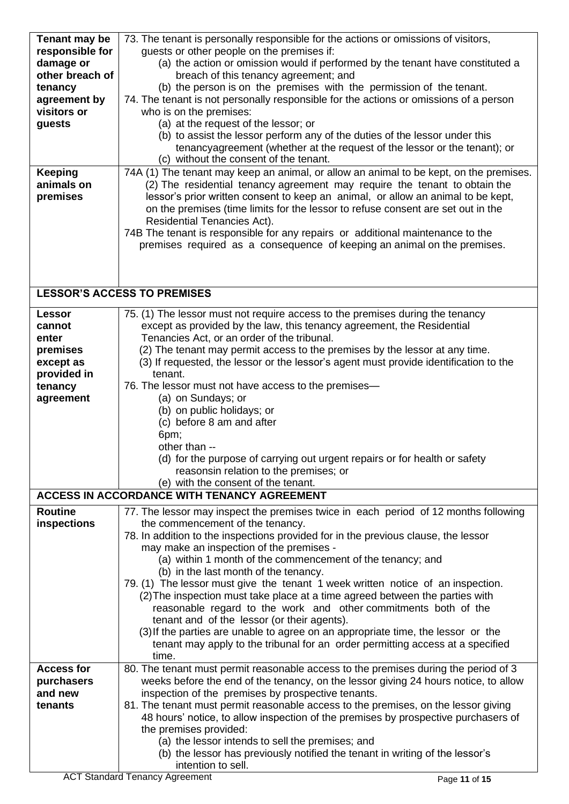| Tenant may be     | 73. The tenant is personally responsible for the actions or omissions of visitors,               |
|-------------------|--------------------------------------------------------------------------------------------------|
| responsible for   | guests or other people on the premises if:                                                       |
| damage or         | (a) the action or omission would if performed by the tenant have constituted a                   |
| other breach of   | breach of this tenancy agreement; and                                                            |
| tenancy           | (b) the person is on the premises with the permission of the tenant.                             |
| agreement by      | 74. The tenant is not personally responsible for the actions or omissions of a person            |
| visitors or       | who is on the premises:                                                                          |
| guests            | (a) at the request of the lessor; or                                                             |
|                   | (b) to assist the lessor perform any of the duties of the lessor under this                      |
|                   | tenancyagreement (whether at the request of the lessor or the tenant); or                        |
|                   | (c) without the consent of the tenant.                                                           |
| <b>Keeping</b>    | 74A (1) The tenant may keep an animal, or allow an animal to be kept, on the premises.           |
| animals on        | (2) The residential tenancy agreement may require the tenant to obtain the                       |
|                   |                                                                                                  |
| premises          | lessor's prior written consent to keep an animal, or allow an animal to be kept,                 |
|                   | on the premises (time limits for the lessor to refuse consent are set out in the                 |
|                   | Residential Tenancies Act).                                                                      |
|                   | 74B The tenant is responsible for any repairs or additional maintenance to the                   |
|                   | premises required as a consequence of keeping an animal on the premises.                         |
|                   |                                                                                                  |
|                   |                                                                                                  |
|                   |                                                                                                  |
|                   | <b>LESSOR'S ACCESS TO PREMISES</b>                                                               |
| Lessor            | 75. (1) The lessor must not require access to the premises during the tenancy                    |
| cannot            | except as provided by the law, this tenancy agreement, the Residential                           |
| enter             | Tenancies Act, or an order of the tribunal.                                                      |
| premises          | (2) The tenant may permit access to the premises by the lessor at any time.                      |
|                   |                                                                                                  |
| except as         | (3) If requested, the lessor or the lessor's agent must provide identification to the<br>tenant. |
| provided in       |                                                                                                  |
| tenancy           | 76. The lessor must not have access to the premises-                                             |
| agreement         | (a) on Sundays; or                                                                               |
|                   | (b) on public holidays; or                                                                       |
|                   | (c) before 8 am and after                                                                        |
|                   | 6pm;                                                                                             |
|                   | other than --                                                                                    |
|                   | (d) for the purpose of carrying out urgent repairs or for health or safety                       |
|                   | reasonsin relation to the premises; or                                                           |
|                   | (e) with the consent of the tenant.                                                              |
|                   | <b>ACCESS IN ACCORDANCE WITH TENANCY AGREEMENT</b>                                               |
| <b>Routine</b>    | 77. The lessor may inspect the premises twice in each period of 12 months following              |
| inspections       | the commencement of the tenancy.                                                                 |
|                   | 78. In addition to the inspections provided for in the previous clause, the lessor               |
|                   | may make an inspection of the premises -                                                         |
|                   | (a) within 1 month of the commencement of the tenancy; and                                       |
|                   | (b) in the last month of the tenancy.                                                            |
|                   | 79. (1) The lessor must give the tenant 1 week written notice of an inspection.                  |
|                   | (2) The inspection must take place at a time agreed between the parties with                     |
|                   | reasonable regard to the work and other commitments both of the                                  |
|                   | tenant and of the lessor (or their agents).                                                      |
|                   | (3) If the parties are unable to agree on an appropriate time, the lessor or the                 |
|                   | tenant may apply to the tribunal for an order permitting access at a specified                   |
|                   | time.                                                                                            |
| <b>Access for</b> | 80. The tenant must permit reasonable access to the premises during the period of 3              |
| purchasers        | weeks before the end of the tenancy, on the lessor giving 24 hours notice, to allow              |
| and new           | inspection of the premises by prospective tenants.                                               |
| tenants           | 81. The tenant must permit reasonable access to the premises, on the lessor giving               |
|                   | 48 hours' notice, to allow inspection of the premises by prospective purchasers of               |
|                   | the premises provided:                                                                           |
|                   | (a) the lessor intends to sell the premises; and                                                 |
|                   |                                                                                                  |
|                   | (b) the lessor has previously notified the tenant in writing of the lessor's                     |
|                   | intention to sell.                                                                               |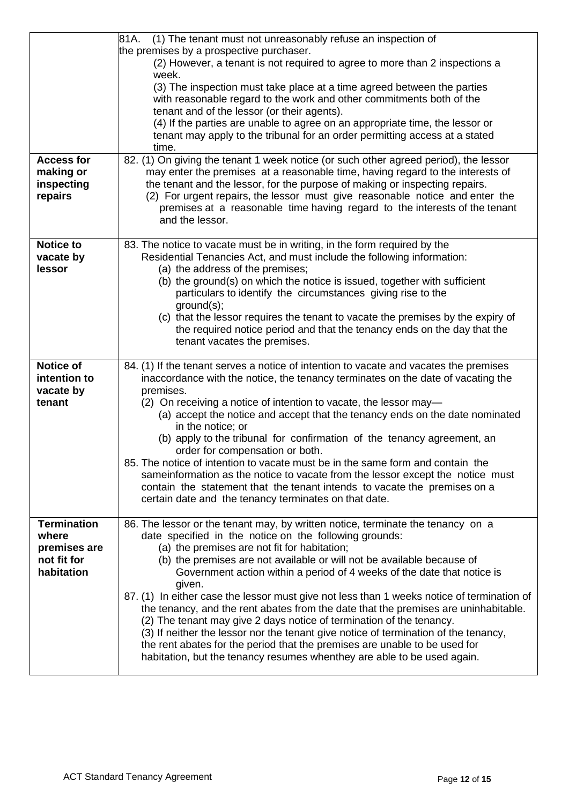|                                                                          | 81A.<br>(1) The tenant must not unreasonably refuse an inspection of<br>the premises by a prospective purchaser.<br>(2) However, a tenant is not required to agree to more than 2 inspections a<br>week.<br>(3) The inspection must take place at a time agreed between the parties<br>with reasonable regard to the work and other commitments both of the<br>tenant and of the lessor (or their agents).<br>(4) If the parties are unable to agree on an appropriate time, the lessor or<br>tenant may apply to the tribunal for an order permitting access at a stated<br>time.                                                                                                                                                                                                                                                                                    |
|--------------------------------------------------------------------------|-----------------------------------------------------------------------------------------------------------------------------------------------------------------------------------------------------------------------------------------------------------------------------------------------------------------------------------------------------------------------------------------------------------------------------------------------------------------------------------------------------------------------------------------------------------------------------------------------------------------------------------------------------------------------------------------------------------------------------------------------------------------------------------------------------------------------------------------------------------------------|
| <b>Access for</b><br>making or<br>inspecting<br>repairs                  | 82. (1) On giving the tenant 1 week notice (or such other agreed period), the lessor<br>may enter the premises at a reasonable time, having regard to the interests of<br>the tenant and the lessor, for the purpose of making or inspecting repairs.<br>(2) For urgent repairs, the lessor must give reasonable notice and enter the<br>premises at a reasonable time having regard to the interests of the tenant<br>and the lessor.                                                                                                                                                                                                                                                                                                                                                                                                                                |
| <b>Notice to</b><br>vacate by<br>lessor                                  | 83. The notice to vacate must be in writing, in the form required by the<br>Residential Tenancies Act, and must include the following information:<br>(a) the address of the premises;<br>(b) the ground(s) on which the notice is issued, together with sufficient<br>particulars to identify the circumstances giving rise to the<br>ground(s);<br>(c) that the lessor requires the tenant to vacate the premises by the expiry of<br>the required notice period and that the tenancy ends on the day that the<br>tenant vacates the premises.                                                                                                                                                                                                                                                                                                                      |
| <b>Notice of</b><br>intention to<br>vacate by<br>tenant                  | 84. (1) If the tenant serves a notice of intention to vacate and vacates the premises<br>inaccordance with the notice, the tenancy terminates on the date of vacating the<br>premises.<br>(2) On receiving a notice of intention to vacate, the lessor may-<br>(a) accept the notice and accept that the tenancy ends on the date nominated<br>in the notice; or<br>(b) apply to the tribunal for confirmation of the tenancy agreement, an<br>order for compensation or both.<br>85. The notice of intention to vacate must be in the same form and contain the<br>sameinformation as the notice to vacate from the lessor except the notice must<br>contain the statement that the tenant intends to vacate the premises on a<br>certain date and the tenancy terminates on that date.                                                                              |
| <b>Termination</b><br>where<br>premises are<br>not fit for<br>habitation | 86. The lessor or the tenant may, by written notice, terminate the tenancy on a<br>date specified in the notice on the following grounds:<br>(a) the premises are not fit for habitation;<br>(b) the premises are not available or will not be available because of<br>Government action within a period of 4 weeks of the date that notice is<br>given.<br>87. (1) In either case the lessor must give not less than 1 weeks notice of termination of<br>the tenancy, and the rent abates from the date that the premises are uninhabitable.<br>(2) The tenant may give 2 days notice of termination of the tenancy.<br>(3) If neither the lessor nor the tenant give notice of termination of the tenancy,<br>the rent abates for the period that the premises are unable to be used for<br>habitation, but the tenancy resumes whenthey are able to be used again. |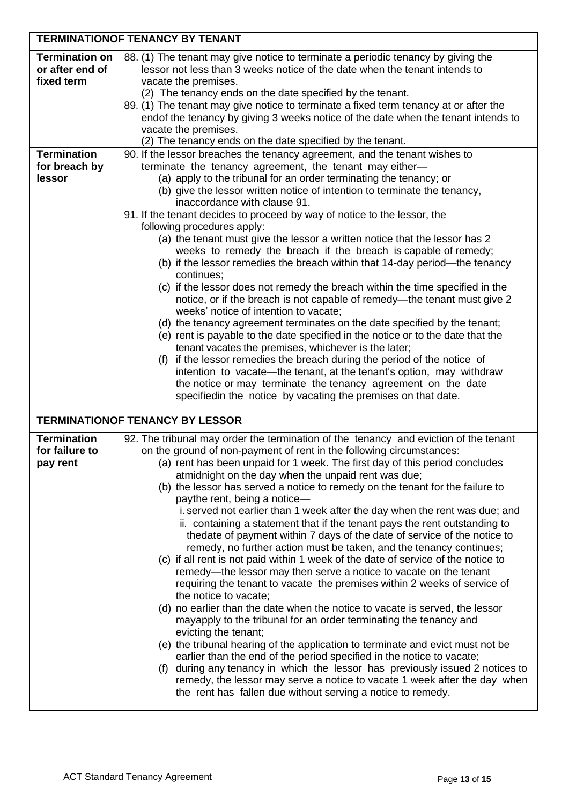| <b>TERMINATIONOF TENANCY BY TENANT</b> |                                                                                                                                                        |  |
|----------------------------------------|--------------------------------------------------------------------------------------------------------------------------------------------------------|--|
| <b>Termination on</b>                  | 88. (1) The tenant may give notice to terminate a periodic tenancy by giving the                                                                       |  |
| or after end of                        | lessor not less than 3 weeks notice of the date when the tenant intends to                                                                             |  |
| fixed term                             | vacate the premises.                                                                                                                                   |  |
|                                        | (2) The tenancy ends on the date specified by the tenant.                                                                                              |  |
|                                        | 89. (1) The tenant may give notice to terminate a fixed term tenancy at or after the                                                                   |  |
|                                        | endof the tenancy by giving 3 weeks notice of the date when the tenant intends to                                                                      |  |
|                                        | vacate the premises.                                                                                                                                   |  |
|                                        | (2) The tenancy ends on the date specified by the tenant.                                                                                              |  |
| <b>Termination</b>                     | 90. If the lessor breaches the tenancy agreement, and the tenant wishes to                                                                             |  |
| for breach by<br>lessor                | terminate the tenancy agreement, the tenant may either-<br>(a) apply to the tribunal for an order terminating the tenancy; or                          |  |
|                                        | (b) give the lessor written notice of intention to terminate the tenancy,                                                                              |  |
|                                        | inaccordance with clause 91.                                                                                                                           |  |
|                                        | 91. If the tenant decides to proceed by way of notice to the lessor, the                                                                               |  |
|                                        | following procedures apply:                                                                                                                            |  |
|                                        | (a) the tenant must give the lessor a written notice that the lessor has 2                                                                             |  |
|                                        | weeks to remedy the breach if the breach is capable of remedy;                                                                                         |  |
|                                        | (b) if the lessor remedies the breach within that 14-day period—the tenancy                                                                            |  |
|                                        | continues;                                                                                                                                             |  |
|                                        | (c) if the lessor does not remedy the breach within the time specified in the                                                                          |  |
|                                        | notice, or if the breach is not capable of remedy—the tenant must give 2                                                                               |  |
|                                        | weeks' notice of intention to vacate;                                                                                                                  |  |
|                                        | (d) the tenancy agreement terminates on the date specified by the tenant;                                                                              |  |
|                                        | (e) rent is payable to the date specified in the notice or to the date that the                                                                        |  |
|                                        | tenant vacates the premises, whichever is the later;                                                                                                   |  |
|                                        | (f) if the lessor remedies the breach during the period of the notice of<br>intention to vacate—the tenant, at the tenant's option, may withdraw       |  |
|                                        | the notice or may terminate the tenancy agreement on the date                                                                                          |  |
|                                        | specifiedin the notice by vacating the premises on that date.                                                                                          |  |
|                                        |                                                                                                                                                        |  |
|                                        | <b>TERMINATIONOF TENANCY BY LESSOR</b>                                                                                                                 |  |
| <b>Termination</b>                     | 92. The tribunal may order the termination of the tenancy and eviction of the tenant                                                                   |  |
| for failure to                         | on the ground of non-payment of rent in the following circumstances:                                                                                   |  |
| pay rent                               | (a) rent has been unpaid for 1 week. The first day of this period concludes                                                                            |  |
|                                        | atmidnight on the day when the unpaid rent was due;                                                                                                    |  |
|                                        | (b) the lessor has served a notice to remedy on the tenant for the failure to                                                                          |  |
|                                        | paythe rent, being a notice-                                                                                                                           |  |
|                                        | i. served not earlier than 1 week after the day when the rent was due; and                                                                             |  |
|                                        | ii. containing a statement that if the tenant pays the rent outstanding to                                                                             |  |
|                                        | thedate of payment within 7 days of the date of service of the notice to                                                                               |  |
|                                        | remedy, no further action must be taken, and the tenancy continues;                                                                                    |  |
|                                        | (c) if all rent is not paid within 1 week of the date of service of the notice to<br>remedy—the lessor may then serve a notice to vacate on the tenant |  |
|                                        | requiring the tenant to vacate the premises within 2 weeks of service of                                                                               |  |
|                                        | the notice to vacate;                                                                                                                                  |  |
|                                        | (d) no earlier than the date when the notice to vacate is served, the lessor                                                                           |  |
|                                        | mayapply to the tribunal for an order terminating the tenancy and                                                                                      |  |
|                                        | evicting the tenant;                                                                                                                                   |  |
|                                        | (e) the tribunal hearing of the application to terminate and evict must not be                                                                         |  |
|                                        | earlier than the end of the period specified in the notice to vacate;                                                                                  |  |
|                                        | (f) during any tenancy in which the lessor has previously issued 2 notices to                                                                          |  |
|                                        | remedy, the lessor may serve a notice to vacate 1 week after the day when                                                                              |  |
|                                        | the rent has fallen due without serving a notice to remedy.                                                                                            |  |
|                                        |                                                                                                                                                        |  |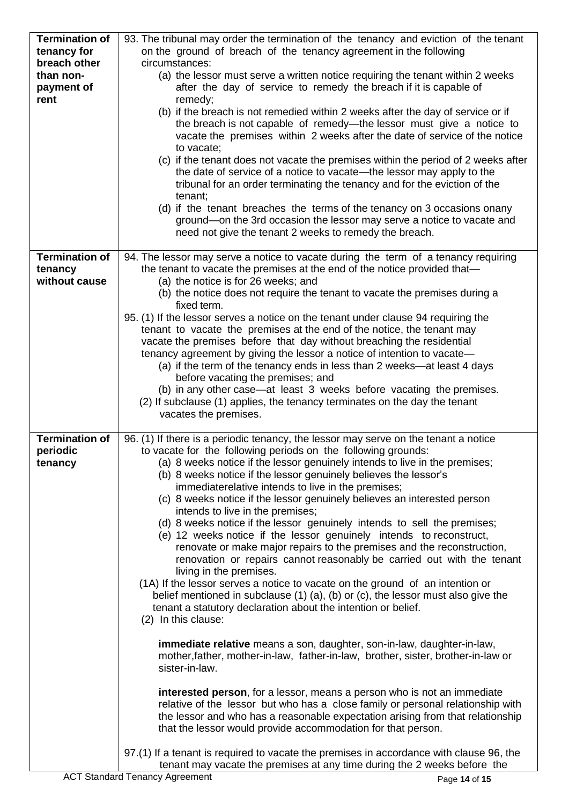| <b>Termination of</b><br>tenancy for<br>breach other<br>than non-<br>payment of<br>rent | 93. The tribunal may order the termination of the tenancy and eviction of the tenant<br>on the ground of breach of the tenancy agreement in the following<br>circumstances:<br>(a) the lessor must serve a written notice requiring the tenant within 2 weeks<br>after the day of service to remedy the breach if it is capable of<br>remedy;<br>(b) if the breach is not remedied within 2 weeks after the day of service or if<br>the breach is not capable of remedy—the lessor must give a notice to<br>vacate the premises within 2 weeks after the date of service of the notice<br>to vacate;<br>(c) if the tenant does not vacate the premises within the period of 2 weeks after<br>the date of service of a notice to vacate—the lessor may apply to the<br>tribunal for an order terminating the tenancy and for the eviction of the<br>tenant;<br>(d) if the tenant breaches the terms of the tenancy on 3 occasions onany<br>ground—on the 3rd occasion the lessor may serve a notice to vacate and<br>need not give the tenant 2 weeks to remedy the breach.                                                                                                                                                                                                                                                                                                                                                                                                                                                                                                                                                                                                                                                                                 |
|-----------------------------------------------------------------------------------------|------------------------------------------------------------------------------------------------------------------------------------------------------------------------------------------------------------------------------------------------------------------------------------------------------------------------------------------------------------------------------------------------------------------------------------------------------------------------------------------------------------------------------------------------------------------------------------------------------------------------------------------------------------------------------------------------------------------------------------------------------------------------------------------------------------------------------------------------------------------------------------------------------------------------------------------------------------------------------------------------------------------------------------------------------------------------------------------------------------------------------------------------------------------------------------------------------------------------------------------------------------------------------------------------------------------------------------------------------------------------------------------------------------------------------------------------------------------------------------------------------------------------------------------------------------------------------------------------------------------------------------------------------------------------------------------------------------------------------------------------------------|
| <b>Termination of</b><br>tenancy<br>without cause                                       | 94. The lessor may serve a notice to vacate during the term of a tenancy requiring<br>the tenant to vacate the premises at the end of the notice provided that-<br>(a) the notice is for 26 weeks; and<br>(b) the notice does not require the tenant to vacate the premises during a<br>fixed term.<br>95. (1) If the lessor serves a notice on the tenant under clause 94 requiring the<br>tenant to vacate the premises at the end of the notice, the tenant may<br>vacate the premises before that day without breaching the residential<br>tenancy agreement by giving the lessor a notice of intention to vacate-<br>(a) if the term of the tenancy ends in less than 2 weeks—at least 4 days<br>before vacating the premises; and<br>(b) in any other case—at least 3 weeks before vacating the premises.<br>(2) If subclause (1) applies, the tenancy terminates on the day the tenant<br>vacates the premises.                                                                                                                                                                                                                                                                                                                                                                                                                                                                                                                                                                                                                                                                                                                                                                                                                                     |
| <b>Termination of</b><br>periodic<br>tenancy                                            | 96. (1) If there is a periodic tenancy, the lessor may serve on the tenant a notice<br>to vacate for the following periods on the following grounds:<br>(a) 8 weeks notice if the lessor genuinely intends to live in the premises;<br>(b) 8 weeks notice if the lessor genuinely believes the lessor's<br>immediaterelative intends to live in the premises;<br>(c) 8 weeks notice if the lessor genuinely believes an interested person<br>intends to live in the premises;<br>(d) 8 weeks notice if the lessor genuinely intends to sell the premises;<br>(e) 12 weeks notice if the lessor genuinely intends to reconstruct,<br>renovate or make major repairs to the premises and the reconstruction,<br>renovation or repairs cannot reasonably be carried out with the tenant<br>living in the premises.<br>(1A) If the lessor serves a notice to vacate on the ground of an intention or<br>belief mentioned in subclause (1) (a), (b) or (c), the lessor must also give the<br>tenant a statutory declaration about the intention or belief.<br>(2) In this clause:<br><b>immediate relative</b> means a son, daughter, son-in-law, daughter-in-law,<br>mother, father, mother-in-law, father-in-law, brother, sister, brother-in-law or<br>sister-in-law.<br>interested person, for a lessor, means a person who is not an immediate<br>relative of the lessor but who has a close family or personal relationship with<br>the lessor and who has a reasonable expectation arising from that relationship<br>that the lessor would provide accommodation for that person.<br>97.(1) If a tenant is required to vacate the premises in accordance with clause 96, the<br>tenant may vacate the premises at any time during the 2 weeks before the |